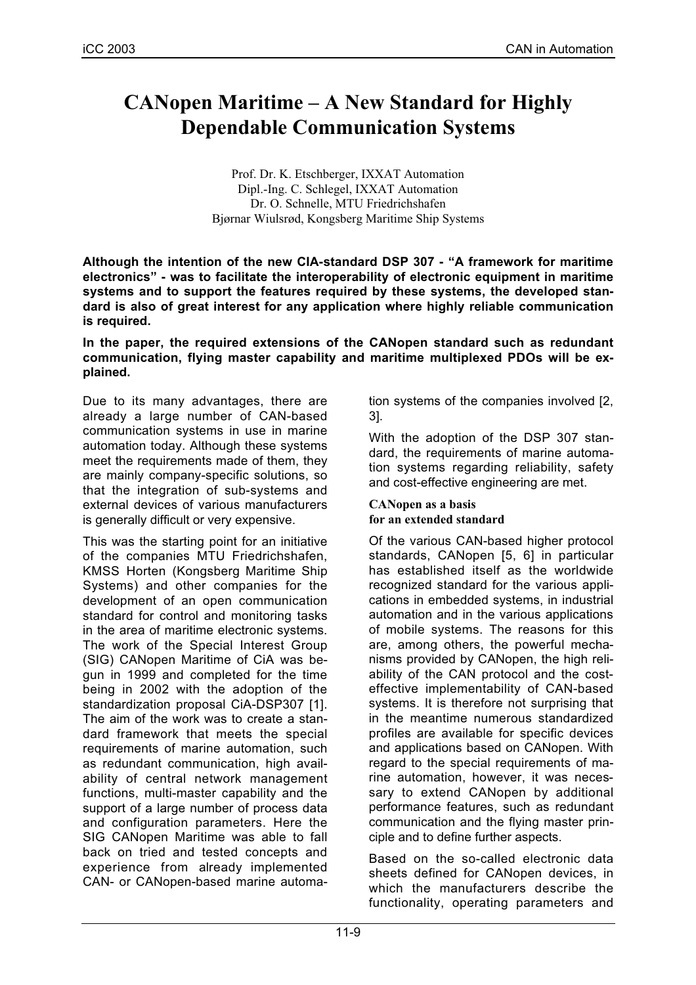# **CANopen Maritime – A New Standard for Highly Dependable Communication Systems**

Prof. Dr. K. Etschberger, IXXAT Automation Dipl.-Ing. C. Schlegel, IXXAT Automation Dr. O. Schnelle, MTU Friedrichshafen Bjørnar Wiulsrød, Kongsberg Maritime Ship Systems

**Although the intention of the new CIA-standard DSP 307 - "A framework for maritime electronics" - was to facilitate the interoperability of electronic equipment in maritime systems and to support the features required by these systems, the developed standard is also of great interest for any application where highly reliable communication is required.**

**In the paper, the required extensions of the CANopen standard such as redundant communication, flying master capability and maritime multiplexed PDOs will be explained.**

Due to its many advantages, there are already a large number of CAN-based communication systems in use in marine automation today. Although these systems meet the requirements made of them, they are mainly company-specific solutions, so that the integration of sub-systems and external devices of various manufacturers is generally difficult or very expensive.

This was the starting point for an initiative of the companies MTU Friedrichshafen, KMSS Horten (Kongsberg Maritime Ship Systems) and other companies for the development of an open communication standard for control and monitoring tasks in the area of maritime electronic systems. The work of the Special Interest Group (SIG) CANopen Maritime of CiA was begun in 1999 and completed for the time being in 2002 with the adoption of the standardization proposal CiA-DSP307 [1]. The aim of the work was to create a standard framework that meets the special requirements of marine automation, such as redundant communication, high availability of central network management functions, multi-master capability and the support of a large number of process data and configuration parameters. Here the SIG CANopen Maritime was able to fall back on tried and tested concepts and experience from already implemented CAN- or CANopen-based marine automation systems of the companies involved [2, 3].

With the adoption of the DSP 307 standard, the requirements of marine automation systems regarding reliability, safety and cost-effective engineering are met.

### **CANopen as a basis for an extended standard**

Of the various CAN-based higher protocol standards, CANopen [5, 6] in particular has established itself as the worldwide recognized standard for the various applications in embedded systems, in industrial automation and in the various applications of mobile systems. The reasons for this are, among others, the powerful mechanisms provided by CANopen, the high reliability of the CAN protocol and the costeffective implementability of CAN-based systems. It is therefore not surprising that in the meantime numerous standardized profiles are available for specific devices and applications based on CANopen. With regard to the special requirements of marine automation, however, it was necessary to extend CANopen by additional performance features, such as redundant communication and the flying master principle and to define further aspects.

Based on the so-called electronic data sheets defined for CANopen devices, in which the manufacturers describe the functionality, operating parameters and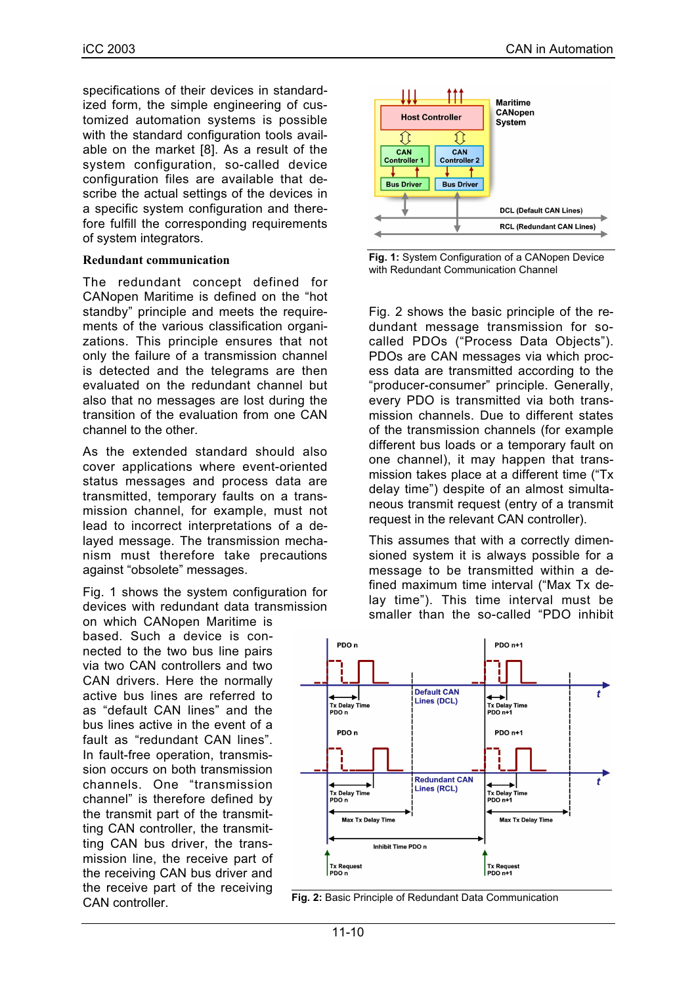specifications of their devices in standardized form, the simple engineering of customized automation systems is possible with the standard configuration tools available on the market [8]. As a result of the system configuration, so-called device configuration files are available that describe the actual settings of the devices in a specific system configuration and therefore fulfill the corresponding requirements of system integrators.

#### **Redundant communication**

The redundant concept defined for CANopen Maritime is defined on the "hot standby" principle and meets the requirements of the various classification organizations. This principle ensures that not only the failure of a transmission channel is detected and the telegrams are then evaluated on the redundant channel but also that no messages are lost during the transition of the evaluation from one CAN channel to the other.

As the extended standard should also cover applications where event-oriented status messages and process data are transmitted, temporary faults on a transmission channel, for example, must not lead to incorrect interpretations of a delayed message. The transmission mechanism must therefore take precautions against "obsolete" messages.

Fig. 1 shows the system configuration for devices with redundant data transmission

on which CANopen Maritime is based. Such a device is connected to the two bus line pairs via two CAN controllers and two CAN drivers. Here the normally active bus lines are referred to as "default CAN lines" and the bus lines active in the event of a fault as "redundant CAN lines". In fault-free operation, transmission occurs on both transmission channels. One "transmission channel" is therefore defined by the transmit part of the transmitting CAN controller, the transmitting CAN bus driver, the transmission line, the receive part of the receiving CAN bus driver and the receive part of the receiving CAN controller.



**Fig. 1:** System Configuration of a CANopen Device with Redundant Communication Channel

Fig. 2 shows the basic principle of the redundant message transmission for socalled PDOs ("Process Data Objects"). PDOs are CAN messages via which process data are transmitted according to the "producer-consumer" principle. Generally, every PDO is transmitted via both transmission channels. Due to different states of the transmission channels (for example different bus loads or a temporary fault on one channel), it may happen that transmission takes place at a different time ("Tx delay time") despite of an almost simultaneous transmit request (entry of a transmit request in the relevant CAN controller).

This assumes that with a correctly dimensioned system it is always possible for a message to be transmitted within a defined maximum time interval ("Max Tx delay time"). This time interval must be smaller than the so-called "PDO inhibit



**Fig. 2:** Basic Principle of Redundant Data Communication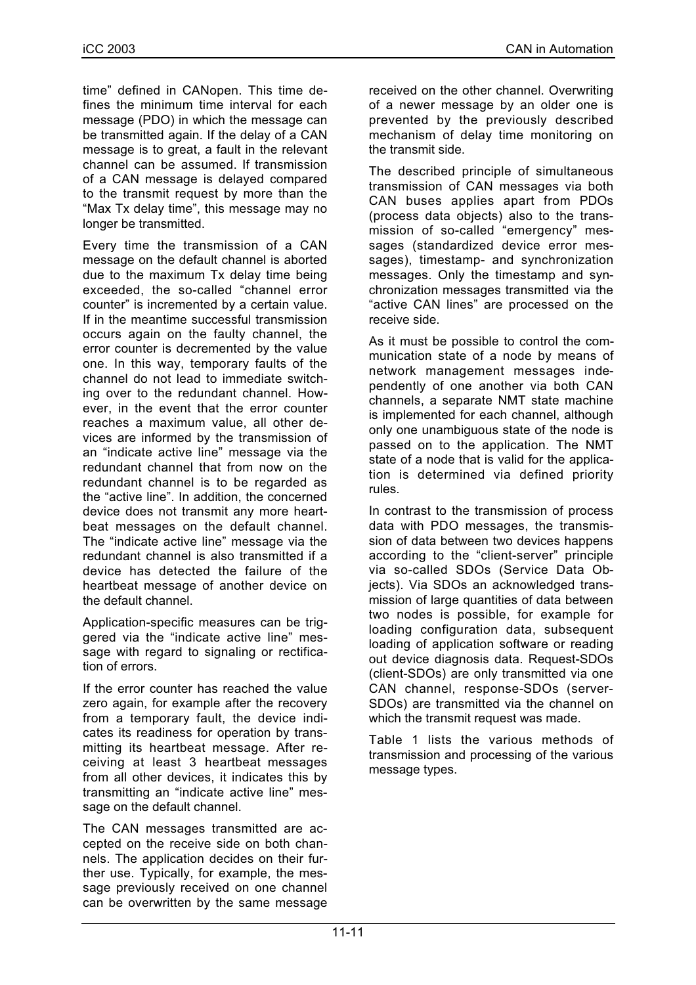time" defined in CANopen. This time defines the minimum time interval for each message (PDO) in which the message can be transmitted again. If the delay of a CAN message is to great, a fault in the relevant channel can be assumed. If transmission of a CAN message is delayed compared to the transmit request by more than the "Max Tx delay time", this message may no longer be transmitted.

Every time the transmission of a CAN message on the default channel is aborted due to the maximum Tx delay time being exceeded, the so-called "channel error counter" is incremented by a certain value. If in the meantime successful transmission occurs again on the faulty channel, the error counter is decremented by the value one. In this way, temporary faults of the channel do not lead to immediate switching over to the redundant channel. However, in the event that the error counter reaches a maximum value, all other devices are informed by the transmission of an "indicate active line" message via the redundant channel that from now on the redundant channel is to be regarded as the "active line". In addition, the concerned device does not transmit any more heartbeat messages on the default channel. The "indicate active line" message via the redundant channel is also transmitted if a device has detected the failure of the heartbeat message of another device on the default channel.

Application-specific measures can be triggered via the "indicate active line" message with regard to signaling or rectification of errors.

If the error counter has reached the value zero again, for example after the recovery from a temporary fault, the device indicates its readiness for operation by transmitting its heartbeat message. After receiving at least 3 heartbeat messages from all other devices, it indicates this by transmitting an "indicate active line" message on the default channel.

The CAN messages transmitted are accepted on the receive side on both channels. The application decides on their further use. Typically, for example, the message previously received on one channel can be overwritten by the same message

received on the other channel. Overwriting of a newer message by an older one is prevented by the previously described mechanism of delay time monitoring on the transmit side.

The described principle of simultaneous transmission of CAN messages via both CAN buses applies apart from PDOs (process data objects) also to the transmission of so-called "emergency" messages (standardized device error messages), timestamp- and synchronization messages. Only the timestamp and synchronization messages transmitted via the "active CAN lines" are processed on the receive side.

As it must be possible to control the communication state of a node by means of network management messages independently of one another via both CAN channels, a separate NMT state machine is implemented for each channel, although only one unambiguous state of the node is passed on to the application. The NMT state of a node that is valid for the application is determined via defined priority rules.

In contrast to the transmission of process data with PDO messages, the transmission of data between two devices happens according to the "client-server" principle via so-called SDOs (Service Data Objects). Via SDOs an acknowledged transmission of large quantities of data between two nodes is possible, for example for loading configuration data, subsequent loading of application software or reading out device diagnosis data. Request-SDOs (client-SDOs) are only transmitted via one CAN channel, response-SDOs (server-SDOs) are transmitted via the channel on which the transmit request was made.

Table 1 lists the various methods of transmission and processing of the various message types.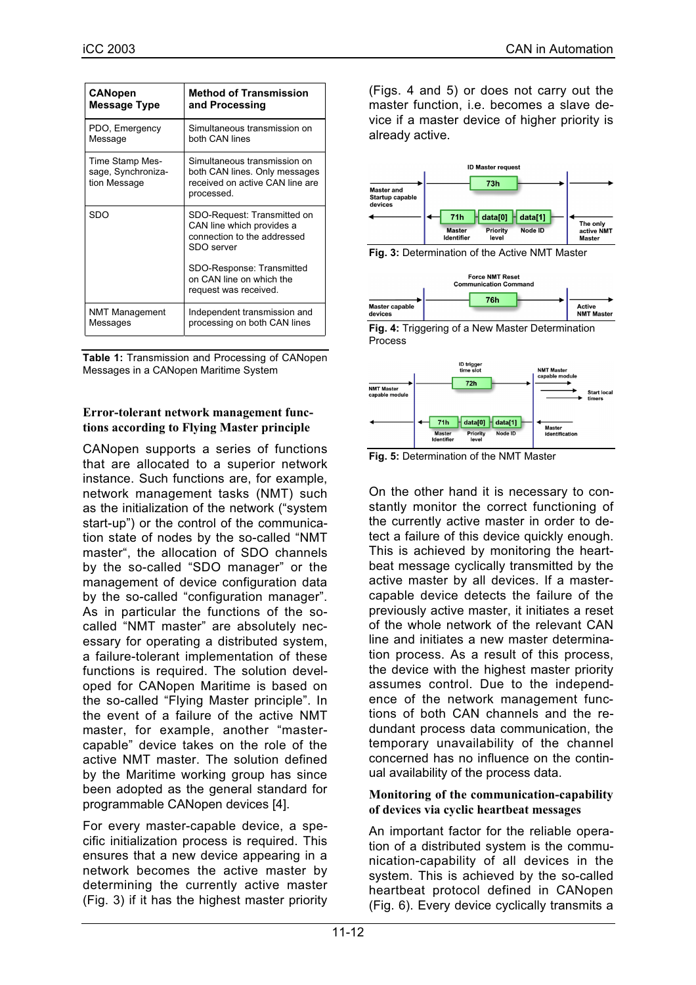| <b>CANopen</b>                                        | <b>Method of Transmission</b>                                                                                  |
|-------------------------------------------------------|----------------------------------------------------------------------------------------------------------------|
| Message Type                                          | and Processing                                                                                                 |
| PDO, Emergency                                        | Simultaneous transmission on                                                                                   |
| Message                                               | both CAN lines                                                                                                 |
| Time Stamp Mes-<br>sage, Synchroniza-<br>tion Message | Simultaneous transmission on<br>both CAN lines. Only messages<br>received on active CAN line are<br>processed. |
| SDO                                                   | SDO-Request: Transmitted on<br>CAN line which provides a<br>connection to the addressed<br>SDO server          |
|                                                       | SDO-Response: Transmitted<br>on CAN line on which the<br>request was received.                                 |
| <b>NMT Management</b>                                 | Independent transmission and                                                                                   |
| Messages                                              | processing on both CAN lines                                                                                   |

**Table 1:** Transmission and Processing of CANopen Messages in a CANopen Maritime System

## **Error-tolerant network management functions according to Flying Master principle**

CANopen supports a series of functions that are allocated to a superior network instance. Such functions are, for example, network management tasks (NMT) such as the initialization of the network ("system start-up") or the control of the communication state of nodes by the so-called "NMT master", the allocation of SDO channels by the so-called "SDO manager" or the management of device configuration data by the so-called "configuration manager". As in particular the functions of the socalled "NMT master" are absolutely necessary for operating a distributed system, a failure-tolerant implementation of these functions is required. The solution developed for CANopen Maritime is based on the so-called "Flying Master principle". In the event of a failure of the active NMT master, for example, another "mastercapable" device takes on the role of the active NMT master. The solution defined by the Maritime working group has since been adopted as the general standard for programmable CANopen devices [4].

For every master-capable device, a specific initialization process is required. This ensures that a new device appearing in a network becomes the active master by determining the currently active master (Fig. 3) if it has the highest master priority (Figs. 4 and 5) or does not carry out the master function, i.e. becomes a slave device if a master device of higher priority is already active.



**Fig. 3:** Determination of the Active NMT Master







**Fig. 5:** Determination of the NMT Master

On the other hand it is necessary to constantly monitor the correct functioning of the currently active master in order to detect a failure of this device quickly enough. This is achieved by monitoring the heartbeat message cyclically transmitted by the active master by all devices. If a mastercapable device detects the failure of the previously active master, it initiates a reset of the whole network of the relevant CAN line and initiates a new master determination process. As a result of this process, the device with the highest master priority assumes control. Due to the independence of the network management functions of both CAN channels and the redundant process data communication, the temporary unavailability of the channel concerned has no influence on the continual availability of the process data.

### **Monitoring of the communication-capability of devices via cyclic heartbeat messages**

An important factor for the reliable operation of a distributed system is the communication-capability of all devices in the system. This is achieved by the so-called heartbeat protocol defined in CANopen (Fig. 6). Every device cyclically transmits a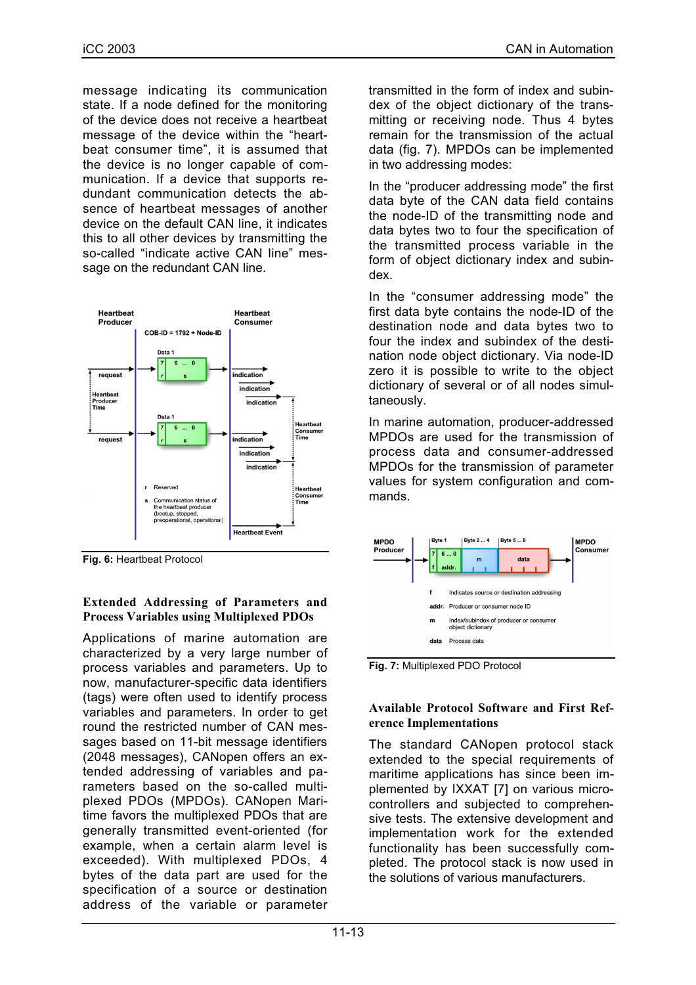message indicating its communication state. If a node defined for the monitoring of the device does not receive a heartbeat message of the device within the "heartbeat consumer time", it is assumed that the device is no longer capable of communication. If a device that supports redundant communication detects the absence of heartbeat messages of another device on the default CAN line, it indicates this to all other devices by transmitting the so-called "indicate active CAN line" message on the redundant CAN line.



**Fig. 6:** Heartbeat Protocol

#### **Extended Addressing of Parameters and Process Variables using Multiplexed PDOs**

Applications of marine automation are characterized by a very large number of process variables and parameters. Up to now, manufacturer-specific data identifiers (tags) were often used to identify process variables and parameters. In order to get round the restricted number of CAN messages based on 11-bit message identifiers (2048 messages), CANopen offers an extended addressing of variables and parameters based on the so-called multiplexed PDOs (MPDOs). CANopen Maritime favors the multiplexed PDOs that are generally transmitted event-oriented (for example, when a certain alarm level is exceeded). With multiplexed PDOs, 4 bytes of the data part are used for the specification of a source or destination address of the variable or parameter transmitted in the form of index and subindex of the object dictionary of the transmitting or receiving node. Thus 4 bytes remain for the transmission of the actual data (fig. 7). MPDOs can be implemented in two addressing modes:

In the "producer addressing mode" the first data byte of the CAN data field contains the node-ID of the transmitting node and data bytes two to four the specification of the transmitted process variable in the form of object dictionary index and subindex.

In the "consumer addressing mode" the first data byte contains the node-ID of the destination node and data bytes two to four the index and subindex of the destination node object dictionary. Via node-ID zero it is possible to write to the object dictionary of several or of all nodes simultaneously.

In marine automation, producer-addressed MPDOs are used for the transmission of process data and consumer-addressed MPDOs for the transmission of parameter values for system configuration and commands.





## **Available Protocol Software and First Reference Implementations**

The standard CANopen protocol stack extended to the special requirements of maritime applications has since been implemented by IXXAT [7] on various microcontrollers and subjected to comprehensive tests. The extensive development and implementation work for the extended functionality has been successfully completed. The protocol stack is now used in the solutions of various manufacturers.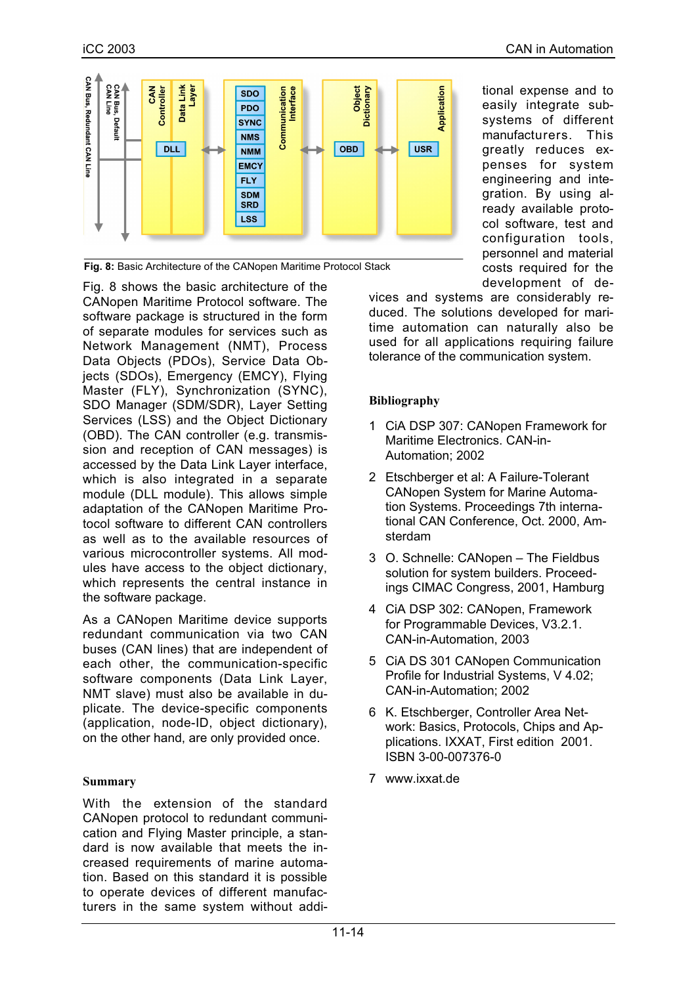

tional expense and to easily integrate subsystems of different manufacturers. This greatly reduces expenses for system engineering and integration. By using already available protocol software, test and configuration tools, personnel and material costs required for the development of de-

**Fig. 8:** Basic Architecture of the CANopen Maritime Protocol Stack

Fig. 8 shows the basic architecture of the CANopen Maritime Protocol software. The software package is structured in the form of separate modules for services such as Network Management (NMT), Process Data Objects (PDOs), Service Data Objects (SDOs), Emergency (EMCY), Flying Master (FLY), Synchronization (SYNC), SDO Manager (SDM/SDR), Layer Setting Services (LSS) and the Object Dictionary (OBD). The CAN controller (e.g. transmission and reception of CAN messages) is accessed by the Data Link Layer interface, which is also integrated in a separate module (DLL module). This allows simple adaptation of the CANopen Maritime Protocol software to different CAN controllers as well as to the available resources of various microcontroller systems. All modules have access to the object dictionary, which represents the central instance in the software package.

As a CANopen Maritime device supports redundant communication via two CAN buses (CAN lines) that are independent of each other, the communication-specific software components (Data Link Layer, NMT slave) must also be available in duplicate. The device-specific components (application, node-ID, object dictionary), on the other hand, are only provided once.

### **Summary**

With the extension of the standard CANopen protocol to redundant communication and Flying Master principle, a standard is now available that meets the increased requirements of marine automation. Based on this standard it is possible to operate devices of different manufacturers in the same system without addivices and systems are considerably reduced. The solutions developed for maritime automation can naturally also be used for all applications requiring failure tolerance of the communication system.

## **Bibliography**

- 1 CiA DSP 307: CANopen Framework for Maritime Electronics. CAN-in-Automation; 2002
- 2 Etschberger et al: A Failure-Tolerant CANopen System for Marine Automation Systems. Proceedings 7th international CAN Conference, Oct. 2000, Amsterdam
- 3 O. Schnelle: CANopen The Fieldbus solution for system builders. Proceedings CIMAC Congress, 2001, Hamburg
- 4 CiA DSP 302: CANopen, Framework for Programmable Devices, V3.2.1. CAN-in-Automation, 2003
- 5 CiA DS 301 CANopen Communication Profile for Industrial Systems, V 4.02; CAN-in-Automation; 2002
- 6 K. Etschberger, Controller Area Network: Basics, Protocols, Chips and Applications. IXXAT, First edition 2001. ISBN 3-00-007376-0
- 7 www.ixxat.de